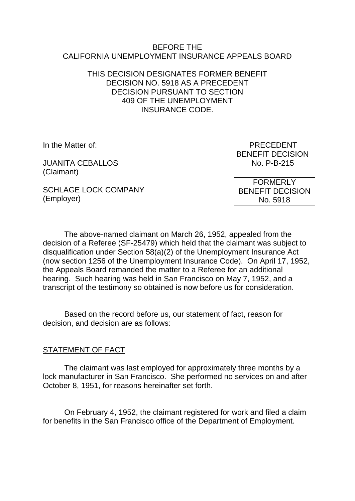#### BEFORE THE CALIFORNIA UNEMPLOYMENT INSURANCE APPEALS BOARD

#### THIS DECISION DESIGNATES FORMER BENEFIT DECISION NO. 5918 AS A PRECEDENT DECISION PURSUANT TO SECTION 409 OF THE UNEMPLOYMENT INSURANCE CODE.

JUANITA CEBALLOS NO. P-B-215 (Claimant)

In the Matter of: PRECEDENT BENEFIT DECISION

SCHLAGE LOCK COMPANY (Employer)

FORMERLY BENEFIT DECISION No. 5918

The above-named claimant on March 26, 1952, appealed from the decision of a Referee (SF-25479) which held that the claimant was subject to disqualification under Section 58(a)(2) of the Unemployment Insurance Act (now section 1256 of the Unemployment Insurance Code). On April 17, 1952, the Appeals Board remanded the matter to a Referee for an additional hearing. Such hearing was held in San Francisco on May 7, 1952, and a transcript of the testimony so obtained is now before us for consideration.

Based on the record before us, our statement of fact, reason for decision, and decision are as follows:

#### STATEMENT OF FACT

The claimant was last employed for approximately three months by a lock manufacturer in San Francisco. She performed no services on and after October 8, 1951, for reasons hereinafter set forth.

On February 4, 1952, the claimant registered for work and filed a claim for benefits in the San Francisco office of the Department of Employment.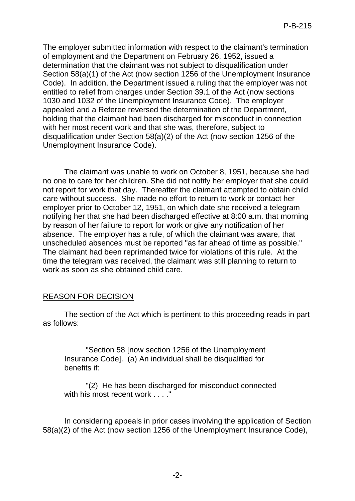The employer submitted information with respect to the claimant's termination of employment and the Department on February 26, 1952, issued a determination that the claimant was not subject to disqualification under Section 58(a)(1) of the Act (now section 1256 of the Unemployment Insurance Code). In addition, the Department issued a ruling that the employer was not entitled to relief from charges under Section 39.1 of the Act (now sections 1030 and 1032 of the Unemployment Insurance Code). The employer appealed and a Referee reversed the determination of the Department, holding that the claimant had been discharged for misconduct in connection with her most recent work and that she was, therefore, subject to disqualification under Section 58(a)(2) of the Act (now section 1256 of the Unemployment Insurance Code).

The claimant was unable to work on October 8, 1951, because she had no one to care for her children. She did not notify her employer that she could not report for work that day. Thereafter the claimant attempted to obtain child care without success. She made no effort to return to work or contact her employer prior to October 12, 1951, on which date she received a telegram notifying her that she had been discharged effective at 8:00 a.m. that morning by reason of her failure to report for work or give any notification of her absence. The employer has a rule, of which the claimant was aware, that unscheduled absences must be reported "as far ahead of time as possible." The claimant had been reprimanded twice for violations of this rule. At the time the telegram was received, the claimant was still planning to return to work as soon as she obtained child care.

# REASON FOR DECISION

The section of the Act which is pertinent to this proceeding reads in part as follows:

"Section 58 [now section 1256 of the Unemployment Insurance Code]. (a) An individual shall be disqualified for benefits if:

"(2) He has been discharged for misconduct connected with his most recent work . . . . "

In considering appeals in prior cases involving the application of Section 58(a)(2) of the Act (now section 1256 of the Unemployment Insurance Code),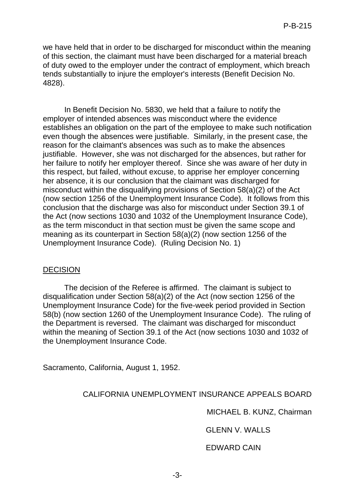we have held that in order to be discharged for misconduct within the meaning of this section, the claimant must have been discharged for a material breach of duty owed to the employer under the contract of employment, which breach tends substantially to injure the employer's interests (Benefit Decision No. 4828).

In Benefit Decision No. 5830, we held that a failure to notify the employer of intended absences was misconduct where the evidence establishes an obligation on the part of the employee to make such notification even though the absences were justifiable. Similarly, in the present case, the reason for the claimant's absences was such as to make the absences justifiable. However, she was not discharged for the absences, but rather for her failure to notify her employer thereof. Since she was aware of her duty in this respect, but failed, without excuse, to apprise her employer concerning her absence, it is our conclusion that the claimant was discharged for misconduct within the disqualifying provisions of Section 58(a)(2) of the Act (now section 1256 of the Unemployment Insurance Code). It follows from this conclusion that the discharge was also for misconduct under Section 39.1 of the Act (now sections 1030 and 1032 of the Unemployment Insurance Code), as the term misconduct in that section must be given the same scope and meaning as its counterpart in Section 58(a)(2) (now section 1256 of the Unemployment Insurance Code). (Ruling Decision No. 1)

# DECISION

The decision of the Referee is affirmed. The claimant is subject to disqualification under Section 58(a)(2) of the Act (now section 1256 of the Unemployment Insurance Code) for the five-week period provided in Section 58(b) (now section 1260 of the Unemployment Insurance Code). The ruling of the Department is reversed. The claimant was discharged for misconduct within the meaning of Section 39.1 of the Act (now sections 1030 and 1032 of the Unemployment Insurance Code.

Sacramento, California, August 1, 1952.

# CALIFORNIA UNEMPLOYMENT INSURANCE APPEALS BOARD

MICHAEL B. KUNZ, Chairman

GLENN V. WALLS

EDWARD CAIN